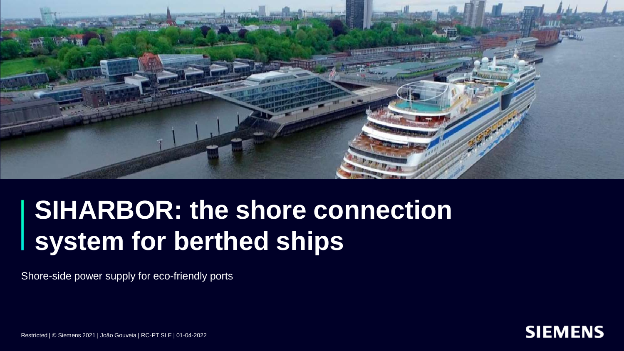

## **SIHARBOR: the shore connection system for berthed ships**

Shore-side power supply for eco-friendly ports



Restricted | © Siemens 2021 | João Gouveia | RC-PT SI E | 01-04-2022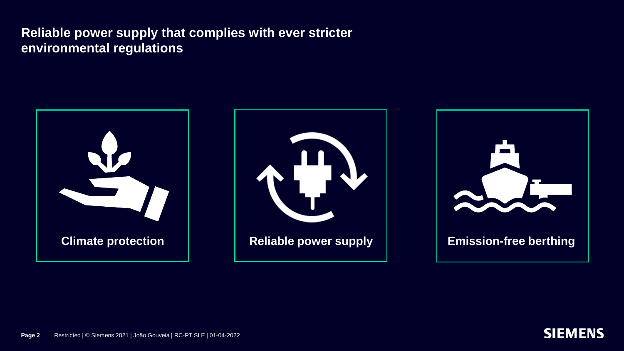







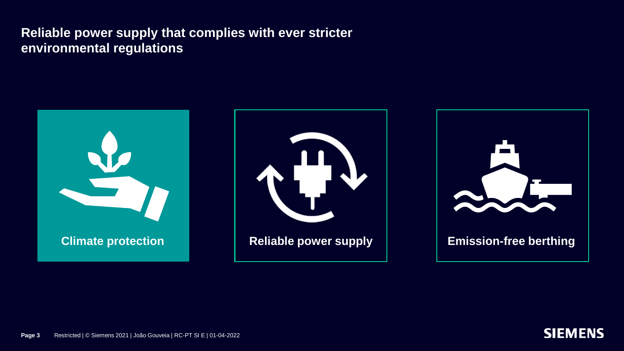







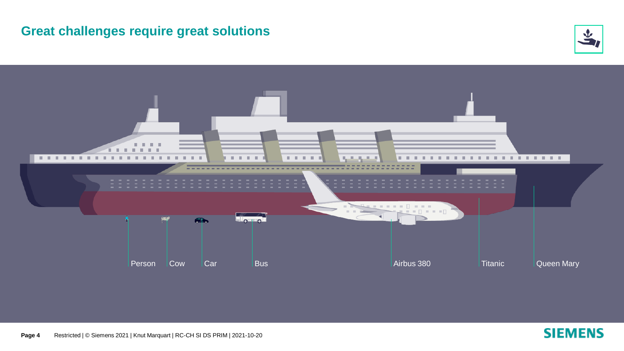#### **Great challenges require great solutions**





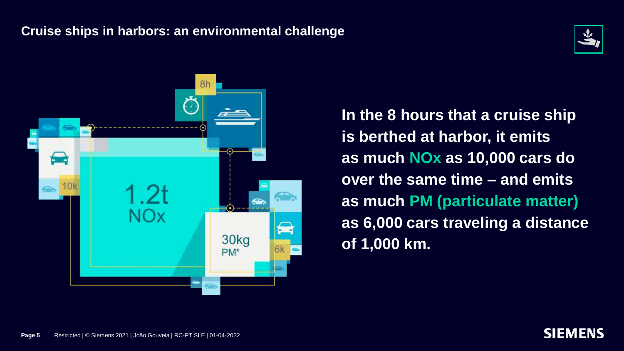#### **Cruise ships in harbors: an environmental challenge**





**In the 8 hours that a cruise ship is berthed at harbor, it emits as much NOx as 10,000 cars do over the same time – and emits as much PM (particulate matter) as 6,000 cars traveling a distance of 1,000 km.**



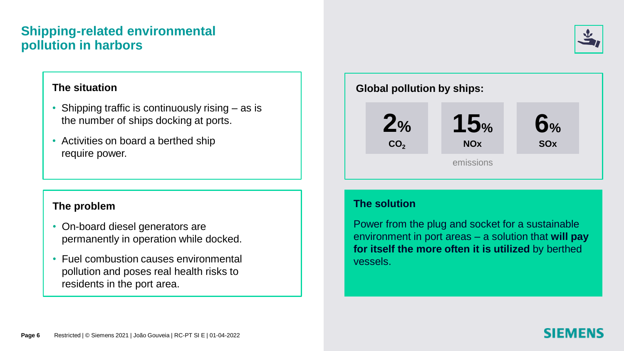#### **Shipping-related environmental pollution in harbors**

#### **The situation**

- Shipping traffic is continuously rising as is the number of ships docking at ports.
- Activities on board a berthed ship require power.

#### **The problem**

- On-board diesel generators are permanently in operation while docked.
- Fuel combustion causes environmental pollution and poses real health risks to residents in the port area.



#### **The solution**

Power from the plug and socket for a sustainable environment in port areas – a solution that **will pay for itself the more often it is utilized** by berthed vessels.

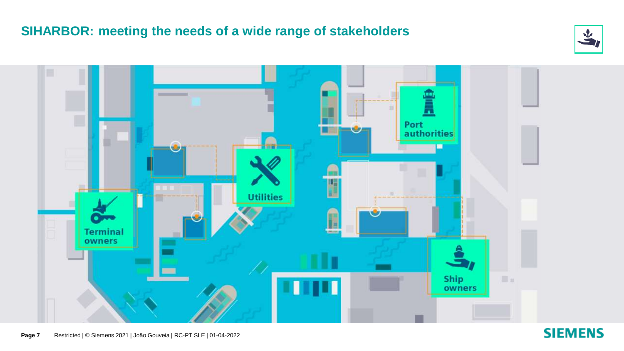#### **SIHARBOR: meeting the needs of a wide range of stakeholders**





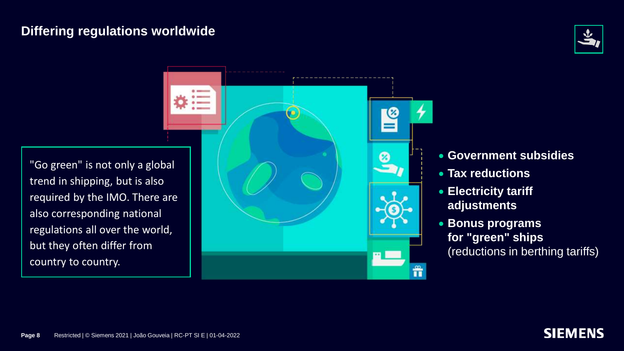#### **Differing regulations worldwide**



"Go green" is not only a global trend in shipping, but is also required by the IMO. There are also corresponding national regulations all over the world, but they often differ from country to country.



- **Government subsidies**
- **Tax reductions**
- **Electricity tariff adjustments**
- **Bonus programs for "green" ships**  (reductions in berthing tariffs)

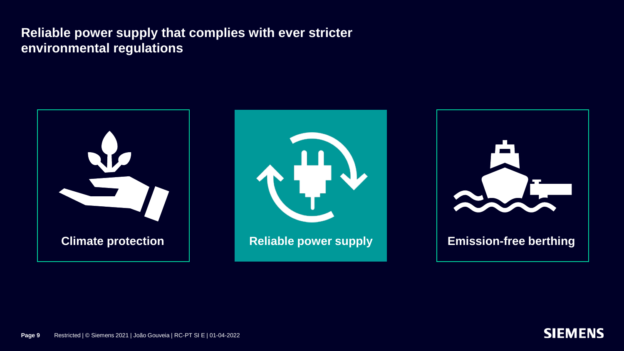







**Page 9** Restricted | © Siemens 2021 | João Gouveia | RC-PT SI E | 01-04-2022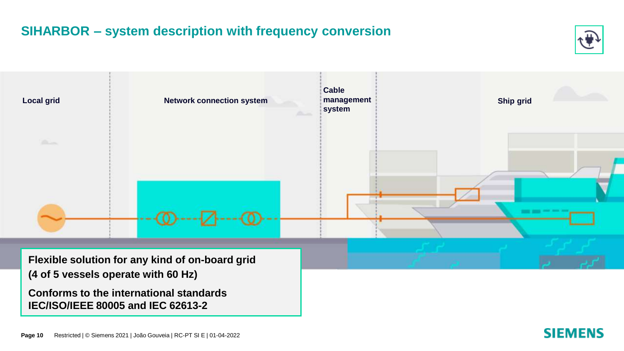### **SIHARBOR – system description with frequency conversion**





**SIEMENS**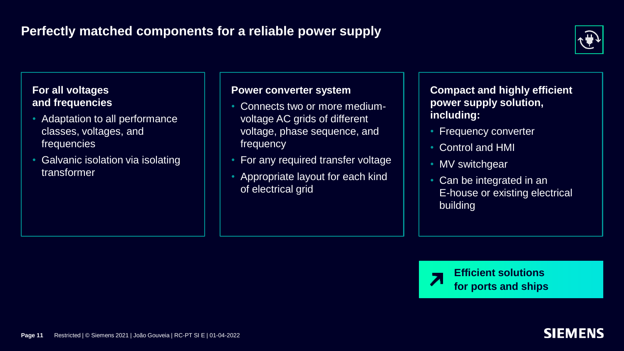#### **Perfectly matched components for a reliable power supply**



#### **For all voltages and frequencies**

- Adaptation to all performance classes, voltages, and frequencies
- Galvanic isolation via isolating transformer

#### **Power converter system**

- Connects two or more mediumvoltage AC grids of different voltage, phase sequence, and frequency
- For any required transfer voltage
- Appropriate layout for each kind of electrical grid

**Compact and highly efficient power supply solution, including:**

- Frequency converter
- Control and HMI
- MV switchgear
- Can be integrated in an E-house or existing electrical building

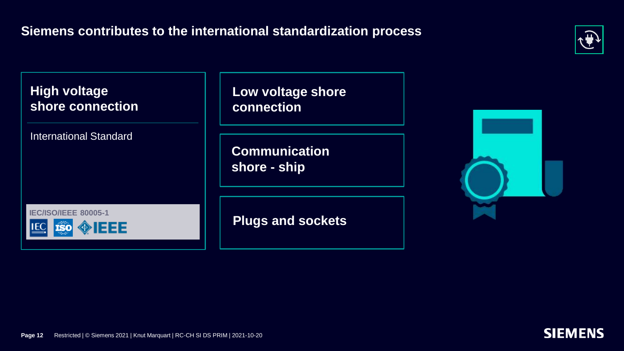



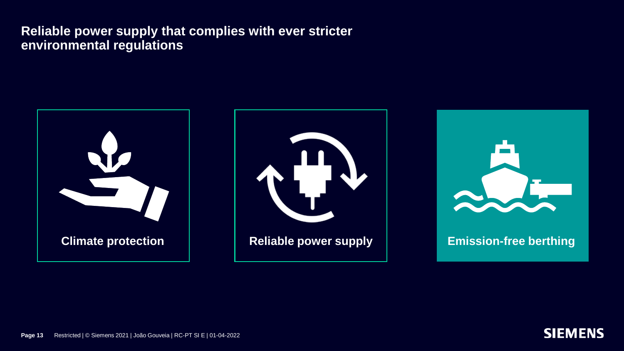





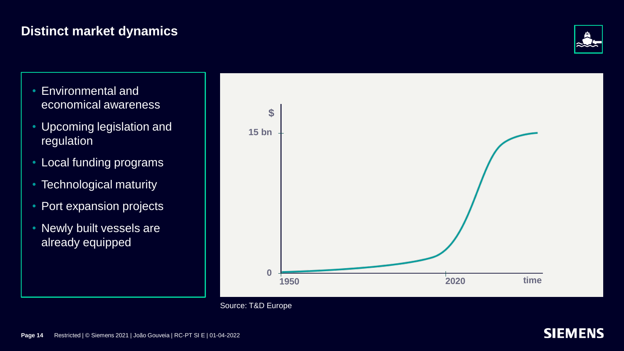#### **Distinct market dynamics**



- Environmental and economical awareness
- Upcoming legislation and regulation
- Local funding programs
- Technological maturity
- Port expansion projects
- Newly built vessels are already equipped





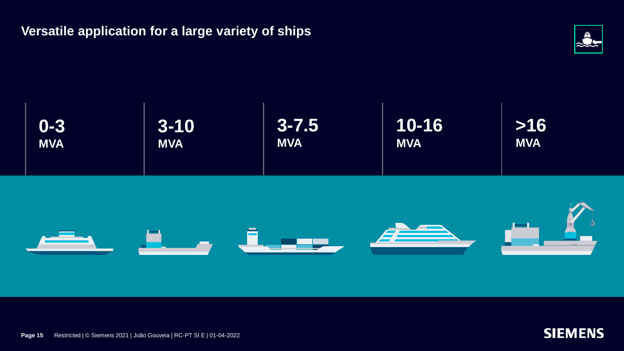**Versatile application for a large variety of ships**









**Page 15** Restricted | © Siemens 2021 | João Gouveia | RC-PT SI E | 01-04-2022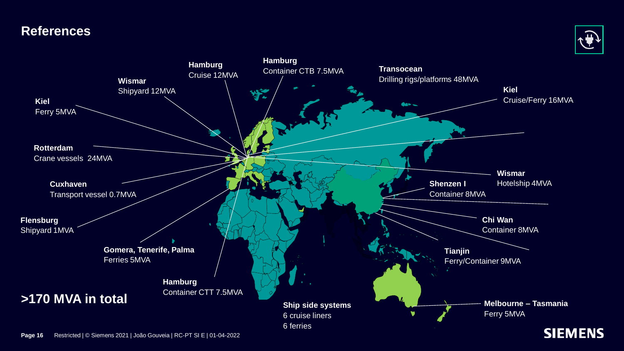#### **References**





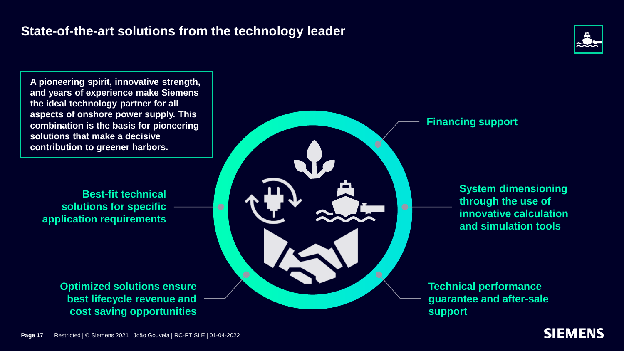#### **State-of-the-art solutions from the technology leader**



**A pioneering spirit, innovative strength, and years of experience make Siemens the ideal technology partner for all aspects of onshore power supply. This combination is the basis for pioneering solutions that make a decisive contribution to greener harbors.** 

**Best-fit technical solutions for specific application requirements**

> **Optimized solutions ensure best lifecycle revenue and cost saving opportunities**





**System dimensioning through the use of innovative calculation and simulation tools**

**Technical performance guarantee and after-sale support**

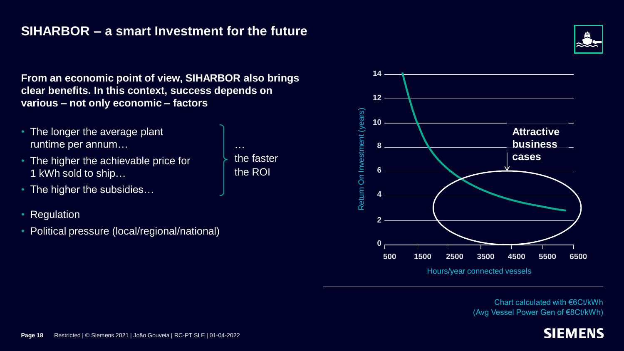#### **SIHARBOR – a smart Investment for the future**

**From an economic point of view, SIHARBOR also brings clear benefits. In this context, success depends on various – not only economic – factors** 

- The longer the average plant runtime per annum…
- The higher the achievable price for 1 kWh sold to ship…
- The higher the subsidies...
- **Regulation**
- Political pressure (local/regional/national)

the faster the ROI

…



Chart calculated with €6Ct/kWh (Avg Vessel Power Gen of €8Ct/kWh)

#### **SIEMENS**